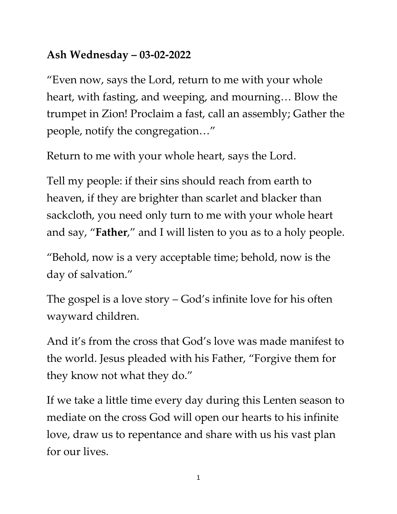## **Ash Wednesday – 03-02-2022**

"Even now, says the Lord, return to me with your whole heart, with fasting, and weeping, and mourning… Blow the trumpet in Zion! Proclaim a fast, call an assembly; Gather the people, notify the congregation…"

Return to me with your whole heart, says the Lord.

Tell my people: if their sins should reach from earth to heaven, if they are brighter than scarlet and blacker than sackcloth, you need only turn to me with your whole heart and say, "**Father**," and I will listen to you as to a holy people.

"Behold, now is a very acceptable time; behold, now is the day of salvation."

The gospel is a love story – God's infinite love for his often wayward children.

And it's from the cross that God's love was made manifest to the world. Jesus pleaded with his Father, "Forgive them for they know not what they do."

If we take a little time every day during this Lenten season to mediate on the cross God will open our hearts to his infinite love, draw us to repentance and share with us his vast plan for our lives.